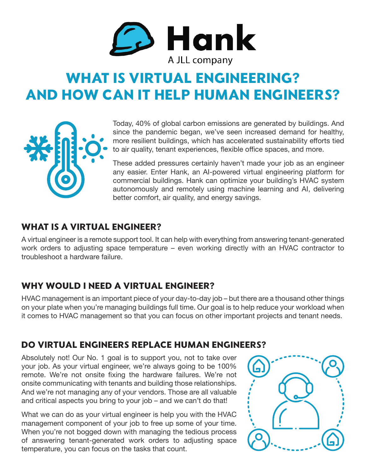

# **WHAT IS VIRTUAL ENGINEERING? AND HOW CAN IT HELP HUMAN ENGINEERS?**



Today, 40% of global carbon emissions are generated by buildings. And since the pandemic began, we've seen increased demand for healthy, more resilient buildings, which has accelerated sustainability efforts tied to air quality, tenant experiences, flexible office spaces, and more.

These added pressures certainly haven't made your job as an engineer any easier. Enter Hank, an AI-powered virtual engineering platform for commercial buildings. Hank can optimize your building's HVAC system autonomously and remotely using machine learning and AI, delivering better comfort, air quality, and energy savings.

#### **WHAT IS A VIRTUAL ENGINEER?**

A virtual engineer is a remote support tool. It can help with everything from answering tenant-generated work orders to adjusting space temperature – even working directly with an HVAC contractor to troubleshoot a hardware failure.

#### **WHY WOULD I NEED A VIRTUAL ENGINEER?**

HVAC management is an important piece of your day-to-day job – but there are a thousand other things on your plate when you're managing buildings full time. Our goal is to help reduce your workload when it comes to HVAC management so that you can focus on other important projects and tenant needs.

#### **DO VIRTUAL ENGINEERS REPLACE HUMAN ENGINEERS?**

Absolutely not! Our No. 1 goal is to support you, not to take over your job. As your virtual engineer, we're always going to be 100% remote. We're not onsite fixing the hardware failures. We're not onsite communicating with tenants and building those relationships. And we're not managing any of your vendors. Those are all valuable and critical aspects you bring to your job – and we can't do that!

What we can do as your virtual engineer is help you with the HVAC management component of your job to free up some of your time. When you're not bogged down with managing the tedious process of answering tenant-generated work orders to adjusting space temperature, you can focus on the tasks that count.